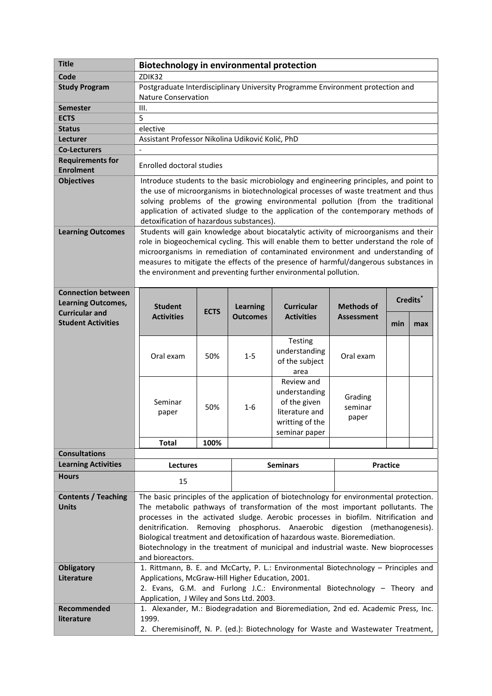| <b>Title</b>                                | <b>Biotechnology in environmental protection</b>                                                                                                                         |                                                                                    |                 |                                        |                                        |     |     |
|---------------------------------------------|--------------------------------------------------------------------------------------------------------------------------------------------------------------------------|------------------------------------------------------------------------------------|-----------------|----------------------------------------|----------------------------------------|-----|-----|
| Code                                        | ZDIK32                                                                                                                                                                   |                                                                                    |                 |                                        |                                        |     |     |
| <b>Study Program</b>                        | Postgraduate Interdisciplinary University Programme Environment protection and                                                                                           |                                                                                    |                 |                                        |                                        |     |     |
|                                             | <b>Nature Conservation</b>                                                                                                                                               |                                                                                    |                 |                                        |                                        |     |     |
| <b>Semester</b>                             | III.                                                                                                                                                                     |                                                                                    |                 |                                        |                                        |     |     |
| <b>ECTS</b>                                 | 5                                                                                                                                                                        |                                                                                    |                 |                                        |                                        |     |     |
| <b>Status</b>                               | elective                                                                                                                                                                 |                                                                                    |                 |                                        |                                        |     |     |
| Lecturer                                    | Assistant Professor Nikolina Udiković Kolić, PhD                                                                                                                         |                                                                                    |                 |                                        |                                        |     |     |
| <b>Co-Lecturers</b>                         | $\blacksquare$                                                                                                                                                           |                                                                                    |                 |                                        |                                        |     |     |
| <b>Requirements for</b><br><b>Enrolment</b> | Enrolled doctoral studies                                                                                                                                                |                                                                                    |                 |                                        |                                        |     |     |
|                                             |                                                                                                                                                                          |                                                                                    |                 |                                        |                                        |     |     |
| <b>Objectives</b>                           | Introduce students to the basic microbiology and engineering principles, and point to                                                                                    |                                                                                    |                 |                                        |                                        |     |     |
|                                             | the use of microorganisms in biotechnological processes of waste treatment and thus<br>solving problems of the growing environmental pollution (from the traditional     |                                                                                    |                 |                                        |                                        |     |     |
|                                             | application of activated sludge to the application of the contemporary methods of                                                                                        |                                                                                    |                 |                                        |                                        |     |     |
|                                             | detoxification of hazardous substances).                                                                                                                                 |                                                                                    |                 |                                        |                                        |     |     |
| <b>Learning Outcomes</b>                    | Students will gain knowledge about biocatalytic activity of microorganisms and their                                                                                     |                                                                                    |                 |                                        |                                        |     |     |
|                                             | role in biogeochemical cycling. This will enable them to better understand the role of                                                                                   |                                                                                    |                 |                                        |                                        |     |     |
|                                             | microorganisms in remediation of contaminated environment and understanding of                                                                                           |                                                                                    |                 |                                        |                                        |     |     |
|                                             | measures to mitigate the effects of the presence of harmful/dangerous substances in                                                                                      |                                                                                    |                 |                                        |                                        |     |     |
|                                             | the environment and preventing further environmental pollution.                                                                                                          |                                                                                    |                 |                                        |                                        |     |     |
|                                             |                                                                                                                                                                          |                                                                                    |                 |                                        |                                        |     |     |
| <b>Connection between</b>                   |                                                                                                                                                                          |                                                                                    |                 |                                        |                                        |     |     |
| <b>Learning Outcomes,</b>                   |                                                                                                                                                                          |                                                                                    |                 |                                        | Credits <sup>*</sup>                   |     |     |
| <b>Curricular and</b>                       | <b>Student</b>                                                                                                                                                           | <b>ECTS</b>                                                                        | <b>Learning</b> | <b>Curricular</b><br><b>Activities</b> | <b>Methods of</b><br><b>Assessment</b> |     |     |
| <b>Student Activities</b>                   | <b>Activities</b>                                                                                                                                                        |                                                                                    | <b>Outcomes</b> |                                        |                                        | min | max |
|                                             |                                                                                                                                                                          |                                                                                    |                 |                                        |                                        |     |     |
|                                             |                                                                                                                                                                          |                                                                                    |                 | Testing                                |                                        |     |     |
|                                             | Oral exam                                                                                                                                                                | 50%                                                                                | $1 - 5$         | understanding                          | Oral exam                              |     |     |
|                                             |                                                                                                                                                                          |                                                                                    |                 | of the subject                         |                                        |     |     |
|                                             |                                                                                                                                                                          |                                                                                    |                 | area                                   |                                        |     |     |
|                                             |                                                                                                                                                                          |                                                                                    |                 | Review and                             |                                        |     |     |
|                                             |                                                                                                                                                                          |                                                                                    |                 | understanding                          | Grading                                |     |     |
|                                             | Seminar                                                                                                                                                                  | 50%                                                                                | $1 - 6$         | of the given                           | seminar                                |     |     |
|                                             | paper                                                                                                                                                                    |                                                                                    |                 | literature and                         | paper                                  |     |     |
|                                             |                                                                                                                                                                          |                                                                                    |                 | writting of the                        |                                        |     |     |
|                                             |                                                                                                                                                                          |                                                                                    |                 | seminar paper                          |                                        |     |     |
|                                             | <b>Total</b>                                                                                                                                                             | 100%                                                                               |                 |                                        |                                        |     |     |
| <b>Consultations</b>                        |                                                                                                                                                                          |                                                                                    |                 |                                        |                                        |     |     |
| <b>Learning Activities</b>                  | <b>Lectures</b>                                                                                                                                                          |                                                                                    | <b>Seminars</b> |                                        | <b>Practice</b>                        |     |     |
| <b>Hours</b>                                | 15                                                                                                                                                                       |                                                                                    |                 |                                        |                                        |     |     |
|                                             |                                                                                                                                                                          |                                                                                    |                 |                                        |                                        |     |     |
| <b>Contents / Teaching</b>                  | The basic principles of the application of biotechnology for environmental protection.<br>The metabolic pathways of transformation of the most important pollutants. The |                                                                                    |                 |                                        |                                        |     |     |
| <b>Units</b>                                |                                                                                                                                                                          |                                                                                    |                 |                                        |                                        |     |     |
|                                             | processes in the activated sludge. Aerobic processes in biofilm. Nitrification and<br>denitrification. Removing phosphorus. Anaerobic digestion (methanogenesis).        |                                                                                    |                 |                                        |                                        |     |     |
|                                             |                                                                                                                                                                          |                                                                                    |                 |                                        |                                        |     |     |
|                                             | Biological treatment and detoxification of hazardous waste. Bioremediation.                                                                                              |                                                                                    |                 |                                        |                                        |     |     |
|                                             |                                                                                                                                                                          | Biotechnology in the treatment of municipal and industrial waste. New bioprocesses |                 |                                        |                                        |     |     |
|                                             | and bioreactors.                                                                                                                                                         |                                                                                    |                 |                                        |                                        |     |     |
| <b>Obligatory</b>                           | 1. Rittmann, B. E. and McCarty, P. L.: Environmental Biotechnology - Principles and                                                                                      |                                                                                    |                 |                                        |                                        |     |     |
| Literature                                  | Applications, McGraw-Hill Higher Education, 2001.                                                                                                                        |                                                                                    |                 |                                        |                                        |     |     |
|                                             | 2. Evans, G.M. and Furlong J.C.: Environmental Biotechnology - Theory and                                                                                                |                                                                                    |                 |                                        |                                        |     |     |
|                                             | Application, J Wiley and Sons Ltd. 2003.                                                                                                                                 |                                                                                    |                 |                                        |                                        |     |     |
| Recommended                                 | 1. Alexander, M.: Biodegradation and Bioremediation, 2nd ed. Academic Press, Inc.                                                                                        |                                                                                    |                 |                                        |                                        |     |     |
| literature                                  | 1999.<br>2. Cheremisinoff, N. P. (ed.): Biotechnology for Waste and Wastewater Treatment,                                                                                |                                                                                    |                 |                                        |                                        |     |     |
|                                             |                                                                                                                                                                          |                                                                                    |                 |                                        |                                        |     |     |